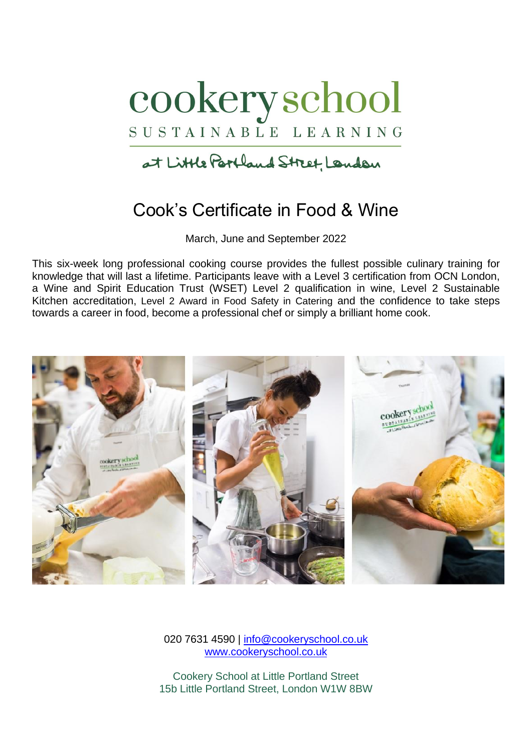

at Little Partland Street, Landan

# Cook's Certificate in Food & Wine

March, June and September 2022

This six-week long professional cooking course provides the fullest possible culinary training for knowledge that will last a lifetime. Participants leave with a Level 3 certification from OCN London, a Wine and Spirit Education Trust (WSET) Level 2 qualification in wine, Level 2 Sustainable Kitchen accreditation, Level 2 Award in Food Safety in Catering and the confidence to take steps towards a career in food, become a professional chef or simply a brilliant home cook.



020 7631 4590 | [info@cookeryschool.co.uk](mailto:info@cookeryschool.co.uk) [www.cookeryschool.co.uk](http://www.cookeryschool.co.uk/)

Cookery School at Little Portland Street 15b Little Portland Street, London W1W 8BW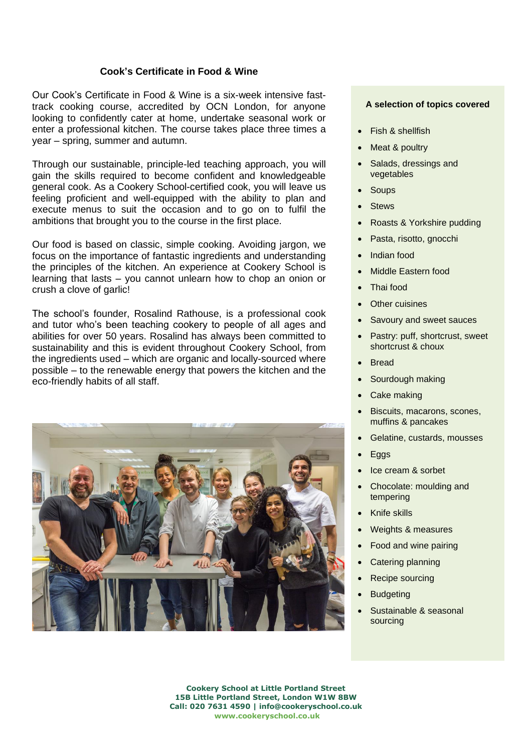# **Cook's Certificate in Food & Wine**

Our Cook's Certificate in Food & Wine is a six-week intensive fasttrack cooking course, accredited by OCN London, for anyone looking to confidently cater at home, undertake seasonal work or enter a professional kitchen. The course takes place three times a year – spring, summer and autumn.

Through our sustainable, principle-led teaching approach, you will gain the skills required to become confident and knowledgeable general cook. As a Cookery School-certified cook, you will leave us feeling proficient and well-equipped with the ability to plan and execute menus to suit the occasion and to go on to fulfil the ambitions that brought you to the course in the first place.

Our food is based on classic, simple cooking. Avoiding jargon, we focus on the importance of fantastic ingredients and understanding the principles of the kitchen. An experience at Cookery School is learning that lasts – you cannot unlearn how to chop an onion or crush a clove of garlic!

The school's founder, Rosalind Rathouse, is a professional cook and tutor who's been teaching cookery to people of all ages and abilities for over 50 years. Rosalind has always been committed to sustainability and this is evident throughout Cookery School, from the ingredients used – which are organic and locally-sourced where possible – to the renewable energy that powers the kitchen and the eco-friendly habits of all staff.



#### **A selection of topics covered**

- Fish & shellfish
- Meat & poultry
- Salads, dressings and vegetables
- **Soups**
- **Stews**
- Roasts & Yorkshire pudding
- Pasta, risotto, gnocchi
- Indian food
- Middle Eastern food
- Thai food
- **Other cuisines**
- Savoury and sweet sauces
- Pastry: puff, shortcrust, sweet shortcrust & choux
- Bread
- Sourdough making
- **Cake making**
- Biscuits, macarons, scones, muffins & pancakes
- Gelatine, custards, mousses
- Eggs
- Ice cream & sorbet
- Chocolate: moulding and tempering
- Knife skills
- Weights & measures
- Food and wine pairing
- Catering planning
- Recipe sourcing
- **Budgeting**
- Sustainable & seasonal sourcing

**Cookery School at Little Portland Street 15B Little Portland Street, London W1W 8BW Call: 020 7631 4590 | info@cookeryschool.co.uk [www.cookeryschool.co.uk](http://www.cookeryschool.co.uk/)**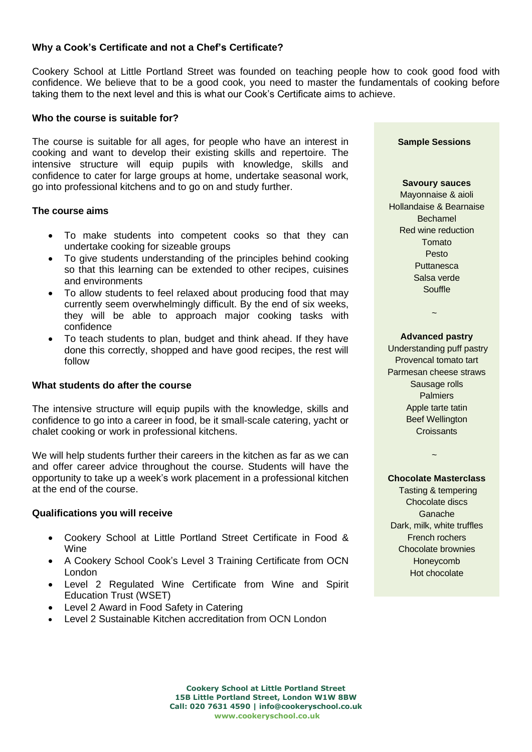# **Why a Cook's Certificate and not a Chef's Certificate?**

Cookery School at Little Portland Street was founded on teaching people how to cook good food with confidence. We believe that to be a good cook, you need to master the fundamentals of cooking before taking them to the next level and this is what our Cook's Certificate aims to achieve.

## **Who the course is suitable for?**

The course is suitable for all ages, for people who have an interest in cooking and want to develop their existing skills and repertoire. The intensive structure will equip pupils with knowledge, skills and confidence to cater for large groups at home, undertake seasonal work, go into professional kitchens and to go on and study further.

## **The course aims**

- To make students into competent cooks so that they can undertake cooking for sizeable groups
- To give students understanding of the principles behind cooking so that this learning can be extended to other recipes, cuisines and environments
- To allow students to feel relaxed about producing food that may currently seem overwhelmingly difficult. By the end of six weeks, they will be able to approach major cooking tasks with confidence
- To teach students to plan, budget and think ahead. If they have done this correctly, shopped and have good recipes, the rest will follow

### **What students do after the course**

The intensive structure will equip pupils with the knowledge, skills and confidence to go into a career in food, be it small-scale catering, yacht or chalet cooking or work in professional kitchens.

We will help students further their careers in the kitchen as far as we can and offer career advice throughout the course. Students will have the opportunity to take up a week's work placement in a professional kitchen at the end of the course.

### **Qualifications you will receive**

- Cookery School at Little Portland Street Certificate in Food & Wine
- A Cookery School Cook's Level 3 Training Certificate from OCN London
- Level 2 Regulated Wine Certificate from Wine and Spirit Education Trust (WSET)
- Level 2 Award in Food Safety in Catering
- Level 2 Sustainable Kitchen accreditation from OCN London

**Sample Sessions**

#### **Savoury sauces**

Mayonnaise & aioli Hollandaise & Bearnaise Bechamel Red wine reduction Tomato Pesto **Puttanesca** Salsa verde Souffle

#### **Advanced pastry**

~

Understanding puff pastry Provencal tomato tart Parmesan cheese straws Sausage rolls Palmiers Apple tarte tatin Beef Wellington **Croissants** 

# ~

**Chocolate Masterclass** Tasting & tempering Chocolate discs Ganache Dark, milk, white truffles French rochers Chocolate brownies Honeycomb Hot chocolate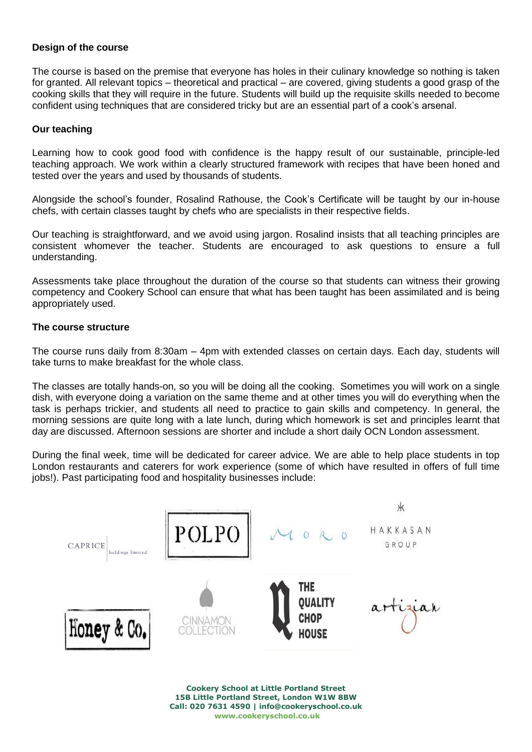# **Design of the course**

The course is based on the premise that everyone has holes in their culinary knowledge so nothing is taken for granted. All relevant topics – theoretical and practical – are covered, giving students a good grasp of the cooking skills that they will require in the future. Students will build up the requisite skills needed to become confident using techniques that are considered tricky but are an essential part of a cook's arsenal.

# **Our teaching**

Learning how to cook good food with confidence is the happy result of our sustainable, principle-led teaching approach. We work within a clearly structured framework with recipes that have been honed and tested over the years and used by thousands of students.

Alongside the school's founder, Rosalind Rathouse, the Cook's Certificate will be taught by our in-house chefs, with certain classes taught by chefs who are specialists in their respective fields.

Our teaching is straightforward, and we avoid using jargon. Rosalind insists that all teaching principles are consistent whomever the teacher. Students are encouraged to ask questions to ensure a full understanding.

Assessments take place throughout the duration of the course so that students can witness their growing competency and Cookery School can ensure that what has been taught has been assimilated and is being appropriately used.

# **The course structure**

The course runs daily from 8:30am – 4pm with extended classes on certain days. Each day, students will take turns to make breakfast for the whole class.

The classes are totally hands-on, so you will be doing all the cooking. Sometimes you will work on a single dish, with everyone doing a variation on the same theme and at other times you will do everything when the task is perhaps trickier, and students all need to practice to gain skills and competency. In general, the morning sessions are quite long with a late lunch, during which homework is set and principles learnt that day are discussed. Afternoon sessions are shorter and include a short daily OCN London assessment.

During the final week, time will be dedicated for career advice. We are able to help place students in top London restaurants and caterers for work experience (some of which have resulted in offers of full time jobs!). Past participating food and hospitality businesses include:



**Cookery School at Little Portland Street 15B Little Portland Street, London W1W 8BW Call: 020 7631 4590 | info@cookeryschool.co.uk [www.cookeryschool.co.uk](http://www.cookeryschool.co.uk/)**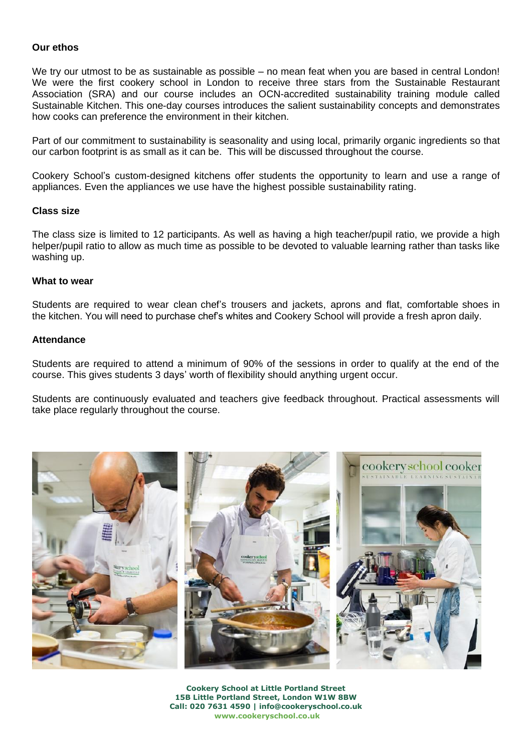# **Our ethos**

We try our utmost to be as sustainable as possible – no mean feat when you are based in central London! We were the first cookery school in London to receive three stars from the Sustainable Restaurant Association (SRA) and our course includes an OCN-accredited sustainability training module called Sustainable Kitchen. This one-day courses introduces the salient sustainability concepts and demonstrates how cooks can preference the environment in their kitchen.

Part of our commitment to sustainability is seasonality and using local, primarily organic ingredients so that our carbon footprint is as small as it can be. This will be discussed throughout the course.

Cookery School's custom-designed kitchens offer students the opportunity to learn and use a range of appliances. Even the appliances we use have the highest possible sustainability rating.

### **Class size**

The class size is limited to 12 participants. As well as having a high teacher/pupil ratio, we provide a high helper/pupil ratio to allow as much time as possible to be devoted to valuable learning rather than tasks like washing up.

### **What to wear**

Students are required to wear clean chef's trousers and jackets, aprons and flat, comfortable shoes in the kitchen. You will need to purchase chef's whites and Cookery School will provide a fresh apron daily.

## **Attendance**

Students are required to attend a minimum of 90% of the sessions in order to qualify at the end of the course. This gives students 3 days' worth of flexibility should anything urgent occur.

Students are continuously evaluated and teachers give feedback throughout. Practical assessments will take place regularly throughout the course.



**Cookery School at Little Portland Street 15B Little Portland Street, London W1W 8BW Call: 020 7631 4590 | info@cookeryschool.co.uk [www.cookeryschool.co.uk](http://www.cookeryschool.co.uk/)**